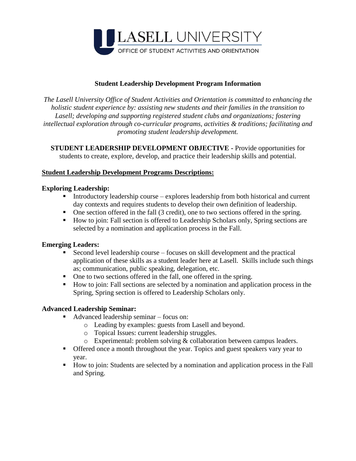

### **Student Leadership Development Program Information**

*The Lasell University Office of Student Activities and Orientation is committed to enhancing the holistic student experience by: assisting new students and their families in the transition to Lasell; developing and supporting registered student clubs and organizations; fostering intellectual exploration through co-curricular programs, activities & traditions; facilitating and promoting student leadership development.*

**STUDENT LEADERSHIP DEVELOPMENT OBJECTIVE -** Provide opportunities for students to create, explore, develop, and practice their leadership skills and potential.

#### **Student Leadership Development Programs Descriptions:**

#### **Exploring Leadership:**

- Introductory leadership course explores leadership from both historical and current day contexts and requires students to develop their own definition of leadership.
- One section offered in the fall (3 credit), one to two sections offered in the spring.
- How to join: Fall section is offered to Leadership Scholars only, Spring sections are selected by a nomination and application process in the Fall.

#### **Emerging Leaders:**

- Second level leadership course focuses on skill development and the practical application of these skills as a student leader here at Lasell. Skills include such things as; communication, public speaking, delegation, etc.
- One to two sections offered in the fall, one offered in the spring.
- How to join: Fall sections are selected by a nomination and application process in the Spring, Spring section is offered to Leadership Scholars only.

### **Advanced Leadership Seminar:**

- Advanced leadership seminar focus on:
	- o Leading by examples: guests from Lasell and beyond.
	- o Topical Issues: current leadership struggles.
	- o Experimental: problem solving & collaboration between campus leaders.
- Offered once a month throughout the year. Topics and guest speakers vary year to year.
- How to join: Students are selected by a nomination and application process in the Fall and Spring.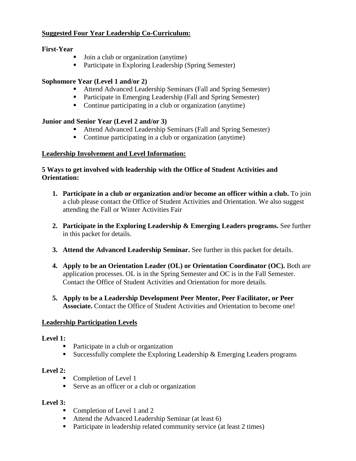### **Suggested Four Year Leadership Co-Curriculum:**

#### **First-Year**

- Join a club or organization (anytime)
- **•** Participate in Exploring Leadership (Spring Semester)

# **Sophomore Year (Level 1 and/or 2)**

- Attend Advanced Leadership Seminars (Fall and Spring Semester)
- Participate in Emerging Leadership (Fall and Spring Semester)
- Continue participating in a club or organization (anytime)

# **Junior and Senior Year (Level 2 and/or 3)**

- Attend Advanced Leadership Seminars (Fall and Spring Semester)
- Continue participating in a club or organization (anytime)

# **Leadership Involvement and Level Information:**

### **5 Ways to get involved with leadership with the Office of Student Activities and Orientation:**

- **1. Participate in a club or organization and/or become an officer within a club.** To join a club please contact the Office of Student Activities and Orientation. We also suggest attending the Fall or Winter Activities Fair
- **2. Participate in the Exploring Leadership & Emerging Leaders programs.** See further in this packet for details.
- **3. Attend the Advanced Leadership Seminar.** See further in this packet for details.
- **4. Apply to be an Orientation Leader (OL) or Orientation Coordinator (OC).** Both are application processes. OL is in the Spring Semester and OC is in the Fall Semester. Contact the Office of Student Activities and Orientation for more details.
- **5. Apply to be a Leadership Development Peer Mentor, Peer Facilitator, or Peer Associate.** Contact the Office of Student Activities and Orientation to become one!

### **Leadership Participation Levels**

### **Level 1:**

- Participate in a club or organization
- Successfully complete the Exploring Leadership  $\&$  Emerging Leaders programs

### **Level 2:**

- Completion of Level 1
- Serve as an officer or a club or organization

### **Level 3:**

- Completion of Level 1 and 2
- Attend the Advanced Leadership Seminar (at least 6)
- Participate in leadership related community service (at least 2 times)